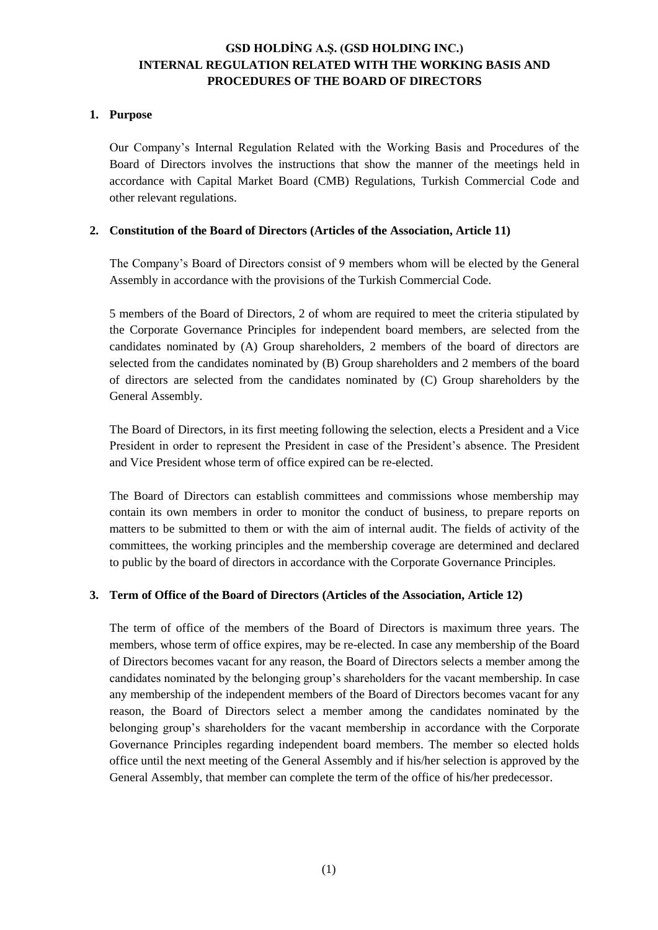### **1. Purpose**

Our Company's Internal Regulation Related with the Working Basis and Procedures of the Board of Directors involves the instructions that show the manner of the meetings held in accordance with Capital Market Board (CMB) Regulations, Turkish Commercial Code and other relevant regulations.

#### **2. Constitution of the Board of Directors (Articles of the Association, Article 11)**

The Company's Board of Directors consist of 9 members whom will be elected by the General Assembly in accordance with the provisions of the Turkish Commercial Code.

5 members of the Board of Directors, 2 of whom are required to meet the criteria stipulated by the Corporate Governance Principles for independent board members, are selected from the candidates nominated by (A) Group shareholders, 2 members of the board of directors are selected from the candidates nominated by (B) Group shareholders and 2 members of the board of directors are selected from the candidates nominated by (C) Group shareholders by the General Assembly.

The Board of Directors, in its first meeting following the selection, elects a President and a Vice President in order to represent the President in case of the President's absence. The President and Vice President whose term of office expired can be re-elected.

The Board of Directors can establish committees and commissions whose membership may contain its own members in order to monitor the conduct of business, to prepare reports on matters to be submitted to them or with the aim of internal audit. The fields of activity of the committees, the working principles and the membership coverage are determined and declared to public by the board of directors in accordance with the Corporate Governance Principles.

#### **3. Term of Office of the Board of Directors (Articles of the Association, Article 12)**

The term of office of the members of the Board of Directors is maximum three years. The members, whose term of office expires, may be re-elected. In case any membership of the Board of Directors becomes vacant for any reason, the Board of Directors selects a member among the candidates nominated by the belonging group's shareholders for the vacant membership. In case any membership of the independent members of the Board of Directors becomes vacant for any reason, the Board of Directors select a member among the candidates nominated by the belonging group's shareholders for the vacant membership in accordance with the Corporate Governance Principles regarding independent board members. The member so elected holds office until the next meeting of the General Assembly and if his/her selection is approved by the General Assembly, that member can complete the term of the office of his/her predecessor.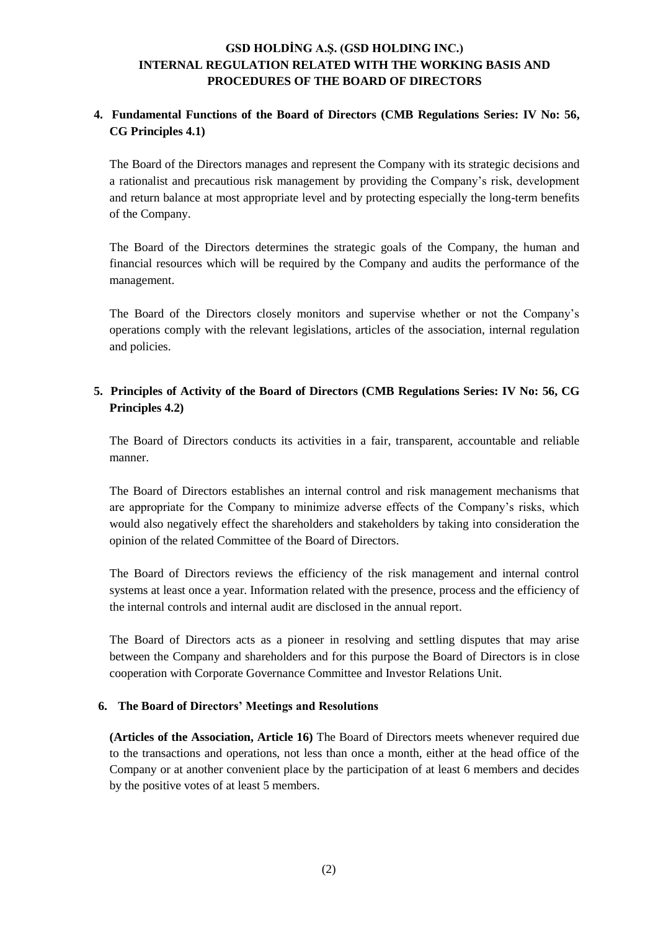## **4. Fundamental Functions of the Board of Directors (CMB Regulations Series: IV No: 56, CG Principles 4.1)**

The Board of the Directors manages and represent the Company with its strategic decisions and a rationalist and precautious risk management by providing the Company's risk, development and return balance at most appropriate level and by protecting especially the long-term benefits of the Company.

The Board of the Directors determines the strategic goals of the Company, the human and financial resources which will be required by the Company and audits the performance of the management.

The Board of the Directors closely monitors and supervise whether or not the Company's operations comply with the relevant legislations, articles of the association, internal regulation and policies.

## **5. Principles of Activity of the Board of Directors (CMB Regulations Series: IV No: 56, CG Principles 4.2)**

The Board of Directors conducts its activities in a fair, transparent, accountable and reliable manner.

The Board of Directors establishes an internal control and risk management mechanisms that are appropriate for the Company to minimize adverse effects of the Company's risks, which would also negatively effect the shareholders and stakeholders by taking into consideration the opinion of the related Committee of the Board of Directors.

The Board of Directors reviews the efficiency of the risk management and internal control systems at least once a year. Information related with the presence, process and the efficiency of the internal controls and internal audit are disclosed in the annual report.

The Board of Directors acts as a pioneer in resolving and settling disputes that may arise between the Company and shareholders and for this purpose the Board of Directors is in close cooperation with Corporate Governance Committee and Investor Relations Unit.

### **6. The Board of Directors' Meetings and Resolutions**

**(Articles of the Association, Article 16)** The Board of Directors meets whenever required due to the transactions and operations, not less than once a month, either at the head office of the Company or at another convenient place by the participation of at least 6 members and decides by the positive votes of at least 5 members.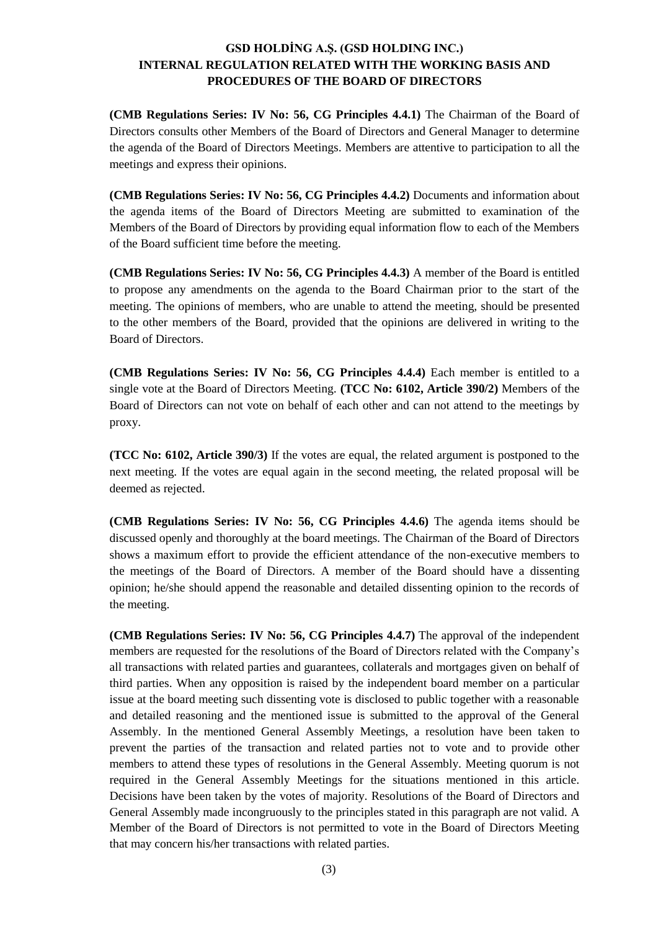**(CMB Regulations Series: IV No: 56, CG Principles 4.4.1)** The Chairman of the Board of Directors consults other Members of the Board of Directors and General Manager to determine the agenda of the Board of Directors Meetings. Members are attentive to participation to all the meetings and express their opinions.

**(CMB Regulations Series: IV No: 56, CG Principles 4.4.2)** Documents and information about the agenda items of the Board of Directors Meeting are submitted to examination of the Members of the Board of Directors by providing equal information flow to each of the Members of the Board sufficient time before the meeting.

**(CMB Regulations Series: IV No: 56, CG Principles 4.4.3)** A member of the Board is entitled to propose any amendments on the agenda to the Board Chairman prior to the start of the meeting. The opinions of members, who are unable to attend the meeting, should be presented to the other members of the Board, provided that the opinions are delivered in writing to the Board of Directors.

**(CMB Regulations Series: IV No: 56, CG Principles 4.4.4)** Each member is entitled to a single vote at the Board of Directors Meeting. **(TCC No: 6102, Article 390/2)** Members of the Board of Directors can not vote on behalf of each other and can not attend to the meetings by proxy.

**(TCC No: 6102, Article 390/3)** If the votes are equal, the related argument is postponed to the next meeting. If the votes are equal again in the second meeting, the related proposal will be deemed as rejected.

**(CMB Regulations Series: IV No: 56, CG Principles 4.4.6)** The agenda items should be discussed openly and thoroughly at the board meetings. The Chairman of the Board of Directors shows a maximum effort to provide the efficient attendance of the non-executive members to the meetings of the Board of Directors. A member of the Board should have a dissenting opinion; he/she should append the reasonable and detailed dissenting opinion to the records of the meeting.

**(CMB Regulations Series: IV No: 56, CG Principles 4.4.7)** The approval of the independent members are requested for the resolutions of the Board of Directors related with the Company's all transactions with related parties and guarantees, collaterals and mortgages given on behalf of third parties. When any opposition is raised by the independent board member on a particular issue at the board meeting such dissenting vote is disclosed to public together with a reasonable and detailed reasoning and the mentioned issue is submitted to the approval of the General Assembly. In the mentioned General Assembly Meetings, a resolution have been taken to prevent the parties of the transaction and related parties not to vote and to provide other members to attend these types of resolutions in the General Assembly. Meeting quorum is not required in the General Assembly Meetings for the situations mentioned in this article. Decisions have been taken by the votes of majority. Resolutions of the Board of Directors and General Assembly made incongruously to the principles stated in this paragraph are not valid. A Member of the Board of Directors is not permitted to vote in the Board of Directors Meeting that may concern his/her transactions with related parties.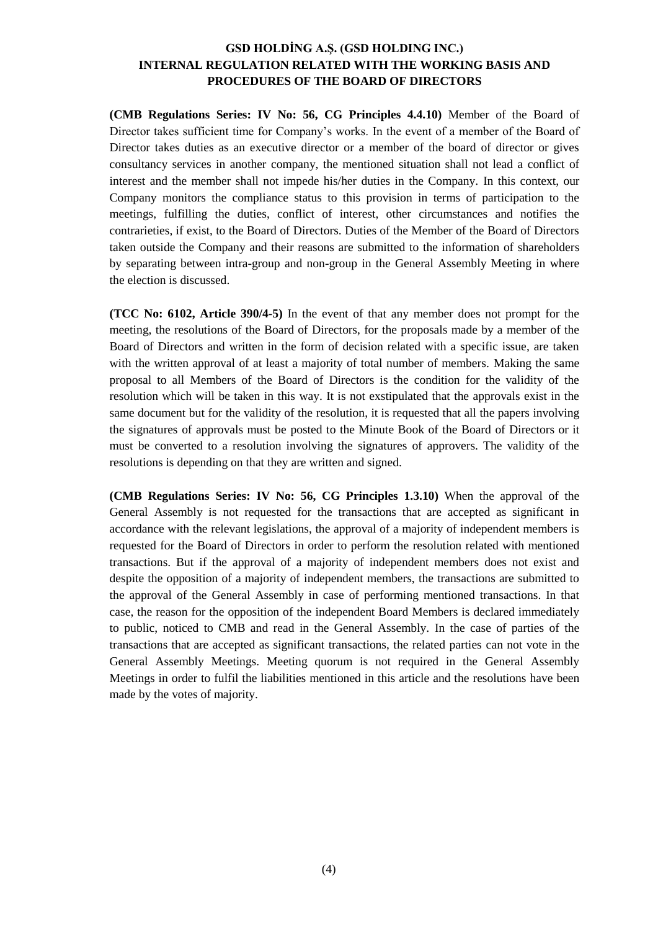**(CMB Regulations Series: IV No: 56, CG Principles 4.4.10)** Member of the Board of Director takes sufficient time for Company's works. In the event of a member of the Board of Director takes duties as an executive director or a member of the board of director or gives consultancy services in another company, the mentioned situation shall not lead a conflict of interest and the member shall not impede his/her duties in the Company. In this context, our Company monitors the compliance status to this provision in terms of participation to the meetings, fulfilling the duties, conflict of interest, other circumstances and notifies the contrarieties, if exist, to the Board of Directors. Duties of the Member of the Board of Directors taken outside the Company and their reasons are submitted to the information of shareholders by separating between intra-group and non-group in the General Assembly Meeting in where the election is discussed.

**(TCC No: 6102, Article 390/4-5)** In the event of that any member does not prompt for the meeting, the resolutions of the Board of Directors, for the proposals made by a member of the Board of Directors and written in the form of decision related with a specific issue, are taken with the written approval of at least a majority of total number of members. Making the same proposal to all Members of the Board of Directors is the condition for the validity of the resolution which will be taken in this way. It is not exstipulated that the approvals exist in the same document but for the validity of the resolution, it is requested that all the papers involving the signatures of approvals must be posted to the Minute Book of the Board of Directors or it must be converted to a resolution involving the signatures of approvers. The validity of the resolutions is depending on that they are written and signed.

**(CMB Regulations Series: IV No: 56, CG Principles 1.3.10)** When the approval of the General Assembly is not requested for the transactions that are accepted as significant in accordance with the relevant legislations, the approval of a majority of independent members is requested for the Board of Directors in order to perform the resolution related with mentioned transactions. But if the approval of a majority of independent members does not exist and despite the opposition of a majority of independent members, the transactions are submitted to the approval of the General Assembly in case of performing mentioned transactions. In that case, the reason for the opposition of the independent Board Members is declared immediately to public, noticed to CMB and read in the General Assembly. In the case of parties of the transactions that are accepted as significant transactions, the related parties can not vote in the General Assembly Meetings. Meeting quorum is not required in the General Assembly Meetings in order to fulfil the liabilities mentioned in this article and the resolutions have been made by the votes of majority.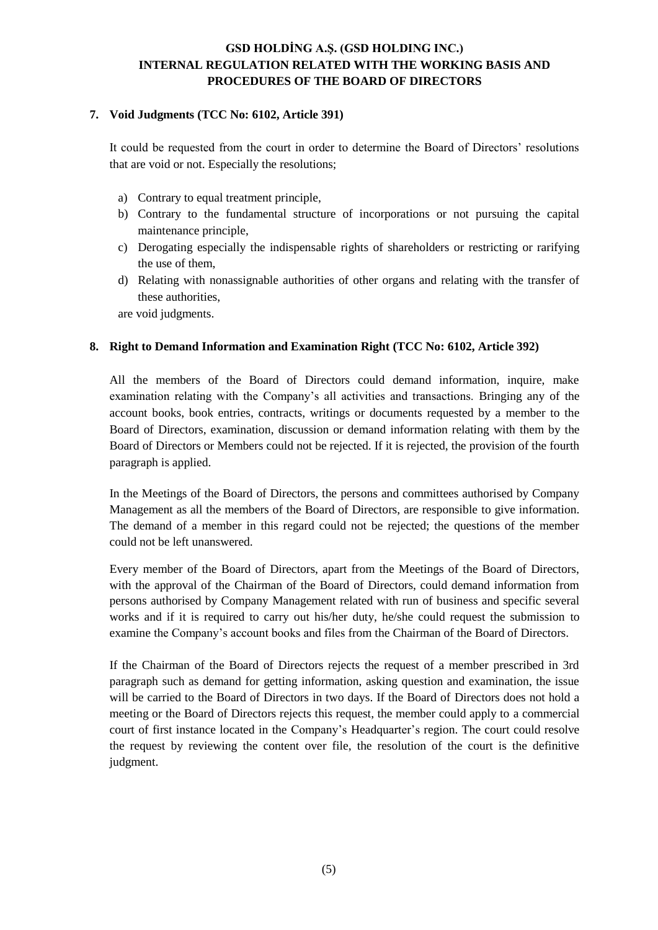#### **7. Void Judgments (TCC No: 6102, Article 391)**

It could be requested from the court in order to determine the Board of Directors' resolutions that are void or not. Especially the resolutions;

- a) Contrary to equal treatment principle,
- b) Contrary to the fundamental structure of incorporations or not pursuing the capital maintenance principle,
- c) Derogating especially the indispensable rights of shareholders or restricting or rarifying the use of them,
- d) Relating with nonassignable authorities of other organs and relating with the transfer of these authorities,

are void judgments.

#### **8. Right to Demand Information and Examination Right (TCC No: 6102, Article 392)**

All the members of the Board of Directors could demand information, inquire, make examination relating with the Company's all activities and transactions. Bringing any of the account books, book entries, contracts, writings or documents requested by a member to the Board of Directors, examination, discussion or demand information relating with them by the Board of Directors or Members could not be rejected. If it is rejected, the provision of the fourth paragraph is applied.

In the Meetings of the Board of Directors, the persons and committees authorised by Company Management as all the members of the Board of Directors, are responsible to give information. The demand of a member in this regard could not be rejected; the questions of the member could not be left unanswered.

Every member of the Board of Directors, apart from the Meetings of the Board of Directors, with the approval of the Chairman of the Board of Directors, could demand information from persons authorised by Company Management related with run of business and specific several works and if it is required to carry out his/her duty, he/she could request the submission to examine the Company's account books and files from the Chairman of the Board of Directors.

If the Chairman of the Board of Directors rejects the request of a member prescribed in 3rd paragraph such as demand for getting information, asking question and examination, the issue will be carried to the Board of Directors in two days. If the Board of Directors does not hold a meeting or the Board of Directors rejects this request, the member could apply to a commercial court of first instance located in the Company's Headquarter's region. The court could resolve the request by reviewing the content over file, the resolution of the court is the definitive judgment.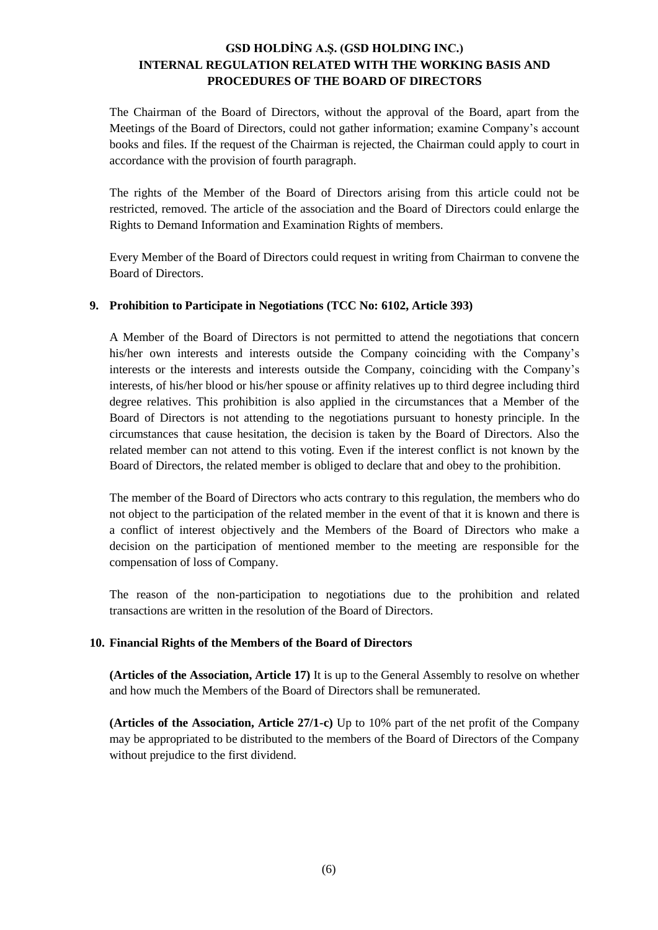The Chairman of the Board of Directors, without the approval of the Board, apart from the Meetings of the Board of Directors, could not gather information; examine Company's account books and files. If the request of the Chairman is rejected, the Chairman could apply to court in accordance with the provision of fourth paragraph.

The rights of the Member of the Board of Directors arising from this article could not be restricted, removed. The article of the association and the Board of Directors could enlarge the Rights to Demand Information and Examination Rights of members.

Every Member of the Board of Directors could request in writing from Chairman to convene the Board of Directors.

#### **9. Prohibition to Participate in Negotiations (TCC No: 6102, Article 393)**

A Member of the Board of Directors is not permitted to attend the negotiations that concern his/her own interests and interests outside the Company coinciding with the Company's interests or the interests and interests outside the Company, coinciding with the Company's interests, of his/her blood or his/her spouse or affinity relatives up to third degree including third degree relatives. This prohibition is also applied in the circumstances that a Member of the Board of Directors is not attending to the negotiations pursuant to honesty principle. In the circumstances that cause hesitation, the decision is taken by the Board of Directors. Also the related member can not attend to this voting. Even if the interest conflict is not known by the Board of Directors, the related member is obliged to declare that and obey to the prohibition.

The member of the Board of Directors who acts contrary to this regulation, the members who do not object to the participation of the related member in the event of that it is known and there is a conflict of interest objectively and the Members of the Board of Directors who make a decision on the participation of mentioned member to the meeting are responsible for the compensation of loss of Company.

The reason of the non-participation to negotiations due to the prohibition and related transactions are written in the resolution of the Board of Directors.

### **10. Financial Rights of the Members of the Board of Directors**

**(Articles of the Association, Article 17)** It is up to the General Assembly to resolve on whether and how much the Members of the Board of Directors shall be remunerated.

**(Articles of the Association, Article 27/1-c)** Up to 10% part of the net profit of the Company may be appropriated to be distributed to the members of the Board of Directors of the Company without prejudice to the first dividend.